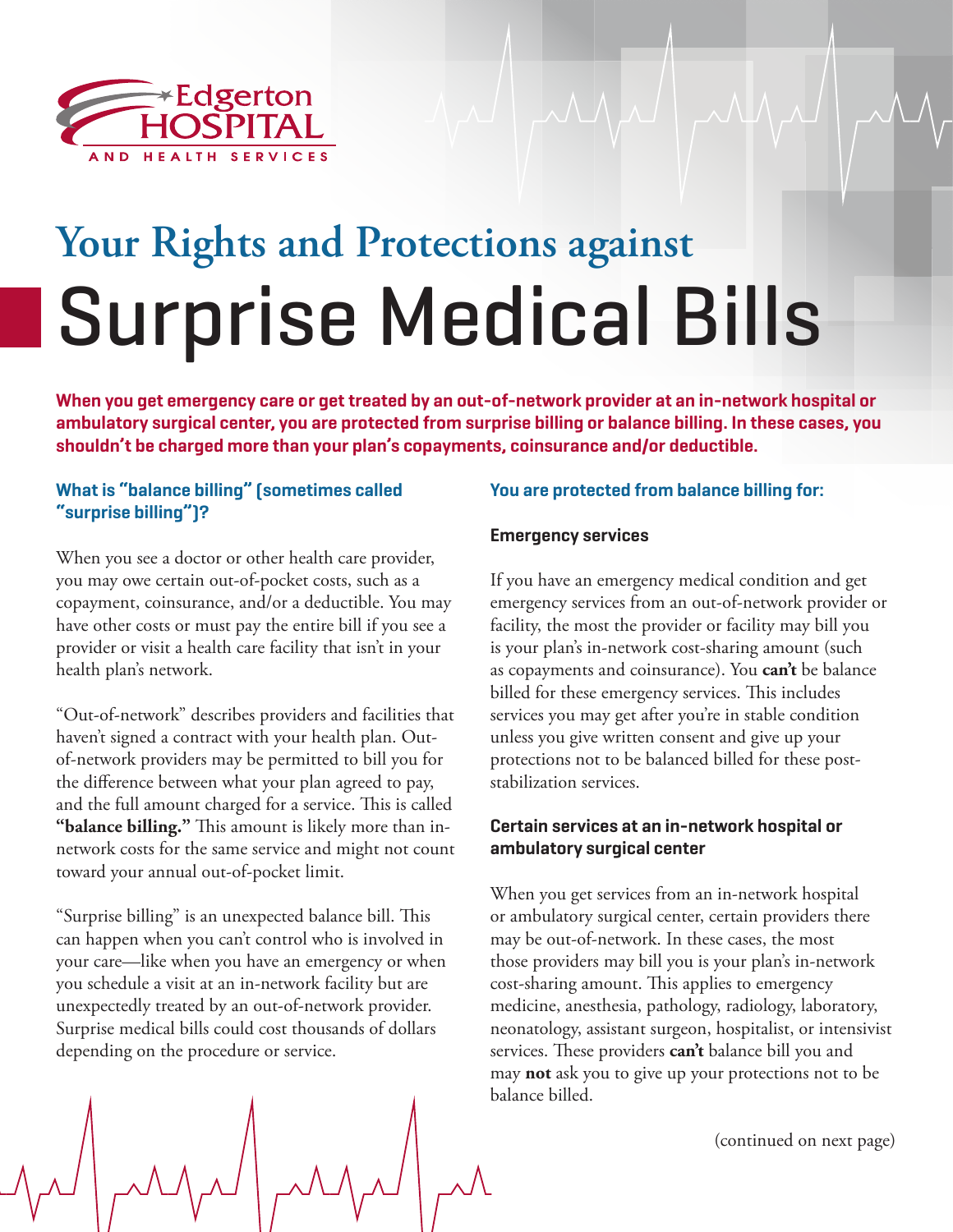

# **Your Rights and Protections against**  Surprise Medical Bills

**When you get emergency care or get treated by an out-of-network provider at an in-network hospital or ambulatory surgical center, you are protected from surprise billing or balance billing. In these cases, you shouldn't be charged more than your plan's copayments, coinsurance and/or deductible.**

## **What is "balance billing" (sometimes called "surprise billing")?**

When you see a doctor or other health care provider, you may owe certain out-of-pocket costs, such as a copayment, coinsurance, and/or a deductible. You may have other costs or must pay the entire bill if you see a provider or visit a health care facility that isn't in your health plan's network.

"Out-of-network" describes providers and facilities that haven't signed a contract with your health plan. Outof-network providers may be permitted to bill you for the difference between what your plan agreed to pay, and the full amount charged for a service. This is called **"balance billing."** This amount is likely more than innetwork costs for the same service and might not count toward your annual out-of-pocket limit.

"Surprise billing" is an unexpected balance bill. This can happen when you can't control who is involved in your care—like when you have an emergency or when you schedule a visit at an in-network facility but are unexpectedly treated by an out-of-network provider. Surprise medical bills could cost thousands of dollars depending on the procedure or service.

# **You are protected from balance billing for:**

#### **Emergency services**

If you have an emergency medical condition and get emergency services from an out-of-network provider or facility, the most the provider or facility may bill you is your plan's in-network cost-sharing amount (such as copayments and coinsurance). You **can't** be balance billed for these emergency services. This includes services you may get after you're in stable condition unless you give written consent and give up your protections not to be balanced billed for these poststabilization services.

#### **Certain services at an in-network hospital or ambulatory surgical center**

When you get services from an in-network hospital or ambulatory surgical center, certain providers there may be out-of-network. In these cases, the most those providers may bill you is your plan's in-network cost-sharing amount. This applies to emergency medicine, anesthesia, pathology, radiology, laboratory, neonatology, assistant surgeon, hospitalist, or intensivist services. These providers **can't** balance bill you and may **not** ask you to give up your protections not to be balance billed.

(continued on next page)